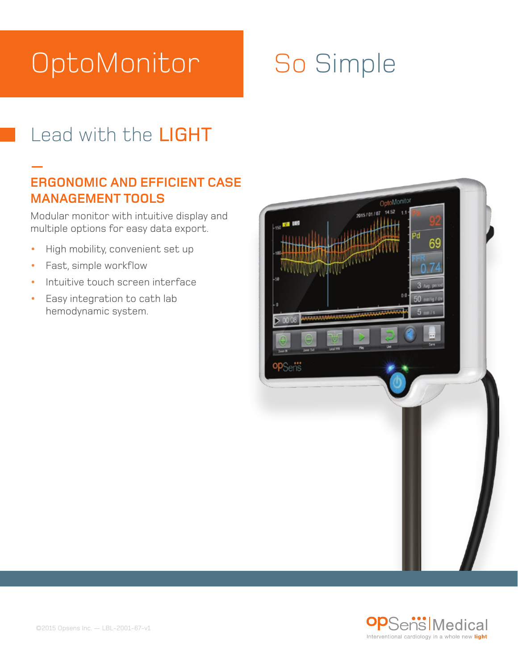# OptoMonitor

# So Simple

## Lead with the LIGHT

### **— ERGONOMIC AND EFFICIENT CASE MANAGEMENT TOOLS**

Modular monitor with intuitive display and multiple options for easy data export.

- **•** High mobility, convenient set up
- **•** Fast, simple workflow
- **•** Intuitive touch screen interface
- **•** Easy integration to cath lab hemodynamic system.